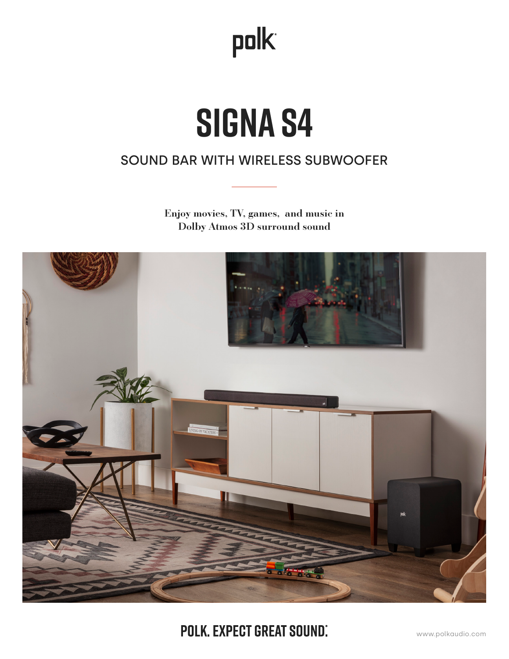## polk

# **Signa S4**

## SOUND BAR WITH WIRELESS SUBWOOFER

Enjoy movies, TV, games, and music in Dolby Atmos 3D surround sound



POLK. EXPECT GREAT SOUND.